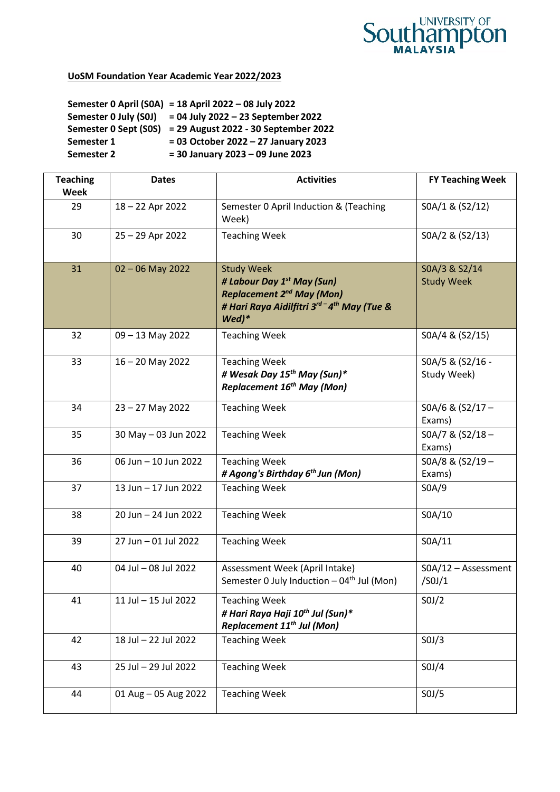

## **UoSM Foundation Year Academic Year 2022/2023**

**Semester 0 April (S0A) = 18 April 2022 – 08 July 2022 Semester 0 July (S0J) = 04 July 2022 – 23 September 2022 Semester 0 Sept (S0S) = 29 August 2022 - 30 September 2022 Semester 1 = 03 October 2022 – 27 January 2023 Semester 2 = 30 January 2023 – 09 June 2023**

| <b>Teaching</b><br><b>Week</b> | <b>Dates</b>         | <b>Activities</b>                                                                                                                                                  | <b>FY Teaching Week</b>            |
|--------------------------------|----------------------|--------------------------------------------------------------------------------------------------------------------------------------------------------------------|------------------------------------|
| 29                             | 18-22 Apr 2022       | Semester 0 April Induction & (Teaching<br>Week)                                                                                                                    | SOA/1 & (S2/12)                    |
| 30                             | 25 - 29 Apr 2022     | <b>Teaching Week</b>                                                                                                                                               | SOA/2 & (S2/13)                    |
| 31                             | $02 - 06$ May 2022   | <b>Study Week</b><br># Labour Day 1 <sup>st</sup> May (Sun)<br><b>Replacement 2<sup>nd</sup> May (Mon)</b><br># Hari Raya Aidilfitri 3rd-4th May (Tue &<br>$Wed)*$ | SOA/3 & S2/14<br><b>Study Week</b> |
| 32                             | 09 - 13 May 2022     | <b>Teaching Week</b>                                                                                                                                               | SOA/4 & (S2/15)                    |
| 33                             | $16 - 20$ May 2022   | <b>Teaching Week</b><br># Wesak Day 15 <sup>th</sup> May (Sun)*<br>Replacement 16 <sup>th</sup> May (Mon)                                                          | SOA/5 & (S2/16 -<br>Study Week)    |
| 34                             | $23 - 27$ May 2022   | <b>Teaching Week</b>                                                                                                                                               | SOA/6 & (S2/17-<br>Exams)          |
| 35                             | 30 May - 03 Jun 2022 | <b>Teaching Week</b>                                                                                                                                               | $SOA/7$ & $(S2/18 -$<br>Exams)     |
| 36                             | 06 Jun - 10 Jun 2022 | <b>Teaching Week</b><br># Agong's Birthday 6 <sup>th</sup> Jun (Mon)                                                                                               | SOA/8 & (S2/19 -<br>Exams)         |
| 37                             | 13 Jun - 17 Jun 2022 | <b>Teaching Week</b>                                                                                                                                               | SOA/9                              |
| 38                             | 20 Jun - 24 Jun 2022 | <b>Teaching Week</b>                                                                                                                                               | S0A/10                             |
| 39                             | 27 Jun - 01 Jul 2022 | <b>Teaching Week</b>                                                                                                                                               | SOA/11                             |
| 40                             | 04 Jul - 08 Jul 2022 | Assessment Week (April Intake)<br>Semester 0 July Induction - 04 <sup>th</sup> Jul (Mon)                                                                           | SOA/12 - Assessment<br>/S0J/1      |
| 41                             | 11 Jul - 15 Jul 2022 | <b>Teaching Week</b><br># Hari Raya Haji 10th Jul (Sun)*<br>Replacement 11 <sup>th</sup> Jul (Mon)                                                                 | SOJ/2                              |
| 42                             | 18 Jul - 22 Jul 2022 | <b>Teaching Week</b>                                                                                                                                               | SOJ/3                              |
| 43                             | 25 Jul - 29 Jul 2022 | <b>Teaching Week</b>                                                                                                                                               | SOJ/4                              |
| 44                             | 01 Aug - 05 Aug 2022 | <b>Teaching Week</b>                                                                                                                                               | SOJ/5                              |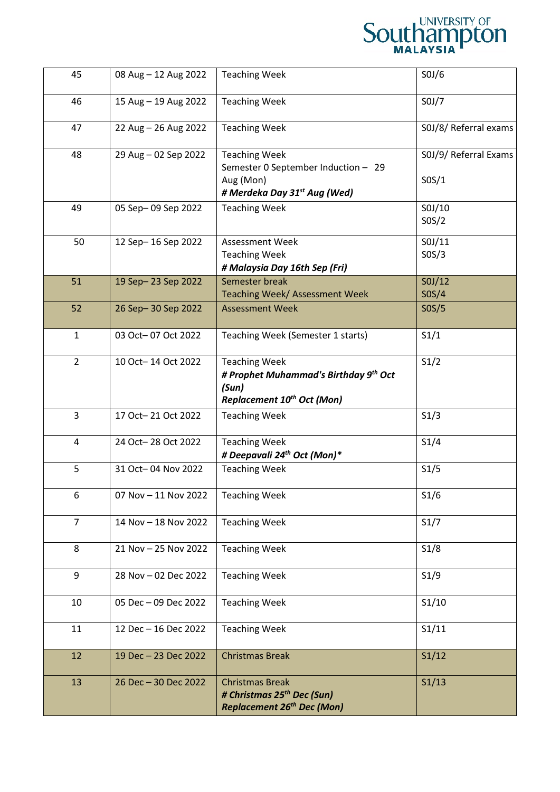| 45             | 08 Aug - 12 Aug 2022 | <b>Teaching Week</b>                                                                                                         | SOJ/6                          |
|----------------|----------------------|------------------------------------------------------------------------------------------------------------------------------|--------------------------------|
| 46             | 15 Aug - 19 Aug 2022 | <b>Teaching Week</b>                                                                                                         | SOJ/7                          |
| 47             | 22 Aug - 26 Aug 2022 | <b>Teaching Week</b>                                                                                                         | S0J/8/ Referral exams          |
| 48             | 29 Aug - 02 Sep 2022 | <b>Teaching Week</b><br>Semester 0 September Induction - 29<br>Aug (Mon)<br># Merdeka Day 31 <sup>st</sup> Aug (Wed)         | S0J/9/ Referral Exams<br>SOS/1 |
| 49             | 05 Sep-09 Sep 2022   | <b>Teaching Week</b>                                                                                                         | SOJ/10<br>SOS/2                |
| 50             | 12 Sep-16 Sep 2022   | <b>Assessment Week</b><br><b>Teaching Week</b><br># Malaysia Day 16th Sep (Fri)                                              | SOJ/11<br>SOS/3                |
| 51             | 19 Sep-23 Sep 2022   | Semester break<br>Teaching Week/ Assessment Week                                                                             | SOJ/12<br>SOS/4                |
| 52             | 26 Sep-30 Sep 2022   | <b>Assessment Week</b>                                                                                                       | SOS/5                          |
| $\mathbf{1}$   | 03 Oct-07 Oct 2022   | Teaching Week (Semester 1 starts)                                                                                            | S1/1                           |
| $\overline{2}$ | 10 Oct-14 Oct 2022   | <b>Teaching Week</b><br># Prophet Muhammad's Birthday 9 <sup>th</sup> Oct<br>(Sun)<br>Replacement 10 <sup>th</sup> Oct (Mon) | S1/2                           |
| $\overline{3}$ | 17 Oct-21 Oct 2022   | <b>Teaching Week</b>                                                                                                         | S1/3                           |
| 4              | 24 Oct-28 Oct 2022   | <b>Teaching Week</b><br># Deepavali 24 <sup>th</sup> Oct (Mon)*                                                              | S1/4                           |
| 5              | 31 Oct-04 Nov 2022   | <b>Teaching Week</b>                                                                                                         | S1/5                           |
| 6              | 07 Nov - 11 Nov 2022 | <b>Teaching Week</b>                                                                                                         | S1/6                           |
| $\overline{7}$ | 14 Nov - 18 Nov 2022 | <b>Teaching Week</b>                                                                                                         | S1/7                           |
| 8              | 21 Nov - 25 Nov 2022 | <b>Teaching Week</b>                                                                                                         | S1/8                           |
| 9              | 28 Nov - 02 Dec 2022 | <b>Teaching Week</b>                                                                                                         | S1/9                           |
| 10             | 05 Dec - 09 Dec 2022 | <b>Teaching Week</b>                                                                                                         | S1/10                          |
| 11             | 12 Dec - 16 Dec 2022 | <b>Teaching Week</b>                                                                                                         | S1/11                          |
| 12             | 19 Dec - 23 Dec 2022 | <b>Christmas Break</b>                                                                                                       | S1/12                          |
| 13             | 26 Dec - 30 Dec 2022 | <b>Christmas Break</b><br># Christmas 25 <sup>th</sup> Dec (Sun)<br><b>Replacement 26th Dec (Mon)</b>                        | S1/13                          |

**Southampton**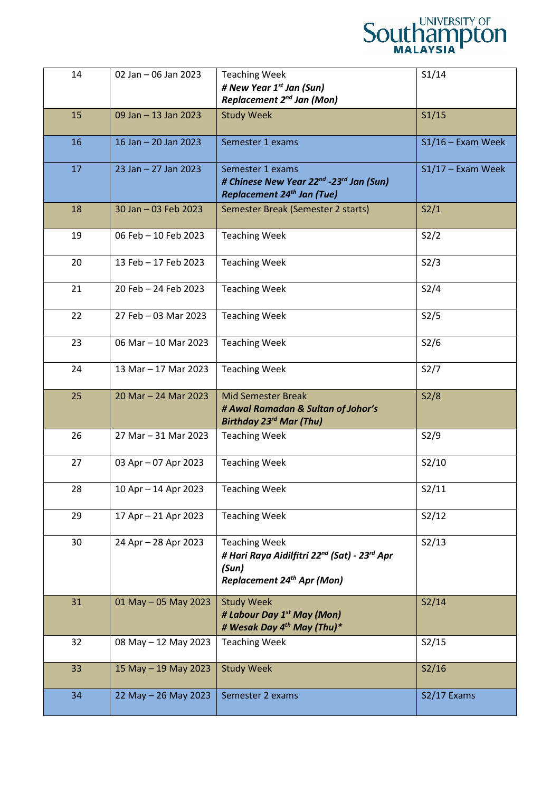

| 14 | 02 Jan - 06 Jan 2023 | <b>Teaching Week</b><br># New Year 1 <sup>st</sup> Jan (Sun)<br>Replacement 2 <sup>nd</sup> Jan (Mon)                                      | S1/14               |
|----|----------------------|--------------------------------------------------------------------------------------------------------------------------------------------|---------------------|
| 15 | 09 Jan - 13 Jan 2023 | <b>Study Week</b>                                                                                                                          | S1/15               |
| 16 | 16 Jan - 20 Jan 2023 | Semester 1 exams                                                                                                                           | $S1/16$ – Exam Week |
| 17 | 23 Jan - 27 Jan 2023 | Semester 1 exams<br># Chinese New Year 22 <sup>nd</sup> -23 <sup>rd</sup> Jan (Sun)<br>Replacement 24 <sup>th</sup> Jan (Tue)              | $S1/17$ – Exam Week |
| 18 | 30 Jan - 03 Feb 2023 | Semester Break (Semester 2 starts)                                                                                                         | S2/1                |
| 19 | 06 Feb - 10 Feb 2023 | <b>Teaching Week</b>                                                                                                                       | S2/2                |
| 20 | 13 Feb - 17 Feb 2023 | <b>Teaching Week</b>                                                                                                                       | S2/3                |
| 21 | 20 Feb - 24 Feb 2023 | <b>Teaching Week</b>                                                                                                                       | S2/4                |
| 22 | 27 Feb - 03 Mar 2023 | <b>Teaching Week</b>                                                                                                                       | S2/5                |
| 23 | 06 Mar - 10 Mar 2023 | <b>Teaching Week</b>                                                                                                                       | S2/6                |
| 24 | 13 Mar - 17 Mar 2023 | <b>Teaching Week</b>                                                                                                                       | S2/7                |
| 25 | 20 Mar - 24 Mar 2023 | <b>Mid Semester Break</b><br># Awal Ramadan & Sultan of Johor's<br>Birthday 23 <sup>rd</sup> Mar (Thu)                                     | S2/8                |
| 26 | 27 Mar - 31 Mar 2023 | <b>Teaching Week</b>                                                                                                                       | S2/9                |
| 27 | 03 Apr - 07 Apr 2023 | <b>Teaching Week</b>                                                                                                                       | S2/10               |
| 28 | 10 Apr - 14 Apr 2023 | <b>Teaching Week</b>                                                                                                                       | S2/11               |
| 29 | 17 Apr - 21 Apr 2023 | <b>Teaching Week</b>                                                                                                                       | S2/12               |
| 30 | 24 Apr - 28 Apr 2023 | <b>Teaching Week</b><br># Hari Raya Aidilfitri 22 <sup>nd</sup> (Sat) - 23 <sup>rd</sup> Apr<br>(Sun)<br><b>Replacement 24th Apr (Mon)</b> | S2/13               |
| 31 | 01 May - 05 May 2023 | <b>Study Week</b><br># Labour Day 1 <sup>st</sup> May (Mon)<br># Wesak Day 4 <sup>th</sup> May (Thu)*                                      | S2/14               |
| 32 | 08 May - 12 May 2023 | <b>Teaching Week</b>                                                                                                                       | S2/15               |
| 33 | 15 May - 19 May 2023 | <b>Study Week</b>                                                                                                                          | S2/16               |
| 34 | 22 May - 26 May 2023 | Semester 2 exams                                                                                                                           | S2/17 Exams         |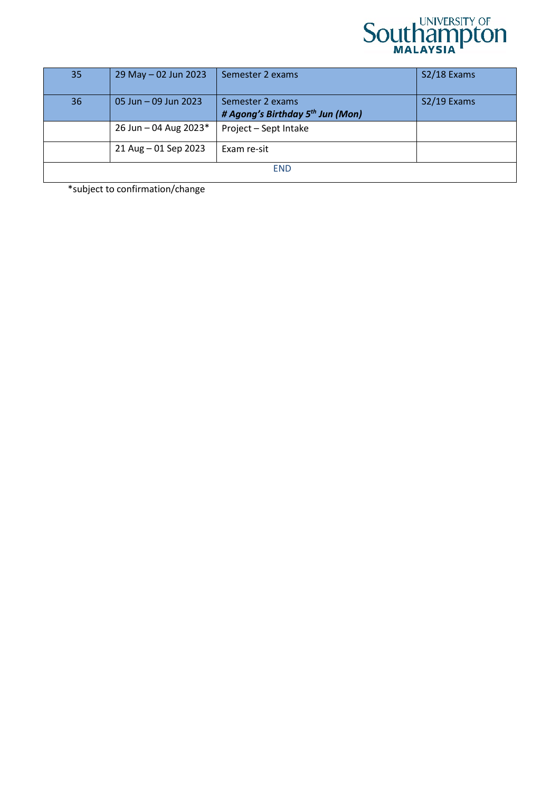

| 35         | 29 May - 02 Jun 2023  | Semester 2 exams                                                 | S2/18 Exams |
|------------|-----------------------|------------------------------------------------------------------|-------------|
| 36         | 05 Jun - 09 Jun 2023  | Semester 2 exams<br># Agong's Birthday 5 <sup>th</sup> Jun (Mon) | S2/19 Exams |
|            | 26 Jun - 04 Aug 2023* | Project - Sept Intake                                            |             |
|            | 21 Aug - 01 Sep 2023  | Exam re-sit                                                      |             |
| <b>END</b> |                       |                                                                  |             |

\*subject to confirmation/change